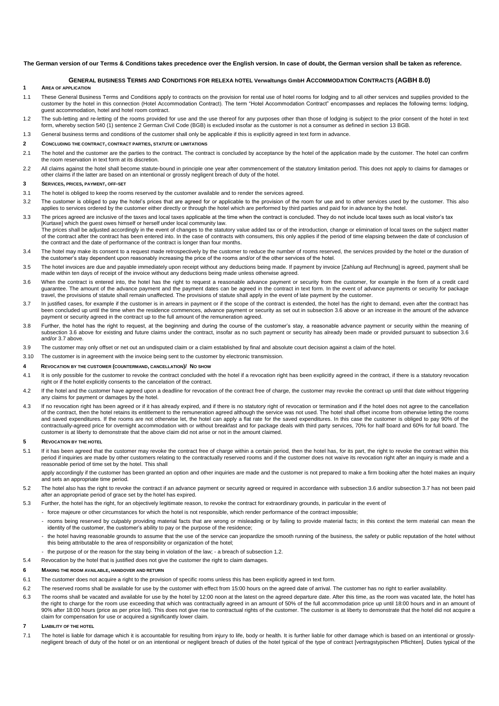#### **The German version of our Terms & Conditions takes precedence over the English version. In case of doubt, the German version shall be taken as reference.**

# **GENERAL BUSINESS TERMS AND CONDITIONS FOR RELEXA hOTEL Verwaltungs GmbH ACCOMMODATION CONTRACTS (AGBH 8.0)**

## **1 AREA OF APPLICATION**

- 1.1 These General Business Terms and Conditions apply to contracts on the provision for rental use of hotel rooms for lodging and to all other services and supplies provided to the customer by the hotel in this connection (Hotel Accommodation Contract). The term "Hotel Accommodation Contract" encompasses and replaces the following terms: lodging, guest accommodation, hotel and hotel room contract.
- 1.2 The sub-letting and re-letting of the rooms provided for use and the use thereof for any purposes other than those of lodging is subject to the prior consent of the hotel in text form, whereby section 540 (1) sentence 2 German Civil Code (BGB) is excluded insofar as the customer is not a consumer as defined in section 13 BGB.
- 1.3 General business terms and conditions of the customer shall only be applicable if this is explicitly agreed in text form in advance.

## **2 CONCLUDING THE CONTRACT, CONTRACT PARTIES, STATUTE OF LIMITATIONS**

- 2.1 The hotel and the customer are the parties to the contract. The contract is concluded by acceptance by the hotel of the application made by the customer. The hotel can confirm the room reservation in text form at its discretion.
- 2.2 All claims against the hotel shall become statute-bound in principle one year after commencement of the statutory limitation period. This does not apply to claims for damages or other claims if the latter are based on an intentional or grossly negligent breach of duty of the hotel.

## **3 SERVICES, PRICES, PAYMENT, OFF-SET**

- 3.1 The hotel is obliged to keep the rooms reserved by the customer available and to render the services agreed.
- 3.2 The customer is obliged to pay the hotel's prices that are agreed for or applicable to the provision of the room for use and to other services used by the customer. This also applies to services ordered by the customer either directly or through the hotel which are performed by third parties and paid for in advance by the hotel.
- 3.3 The prices agreed are inclusive of the taxes and local taxes applicable at the time when the contract is concluded. They do not include local taxes such as local visitor's tax [Kurtaxe] which the guest owes himself or herself under local community law. The prices shall be adjusted accordingly in the event of changes to the statutory value added tax or of the introduction, change or elimination of local taxes on the subject matter of the contract after the contract has been entered into. In the case of contracts with consumers, this only applies if the period of time elapsing between the date of conclusion of
- the contract and the date of performance of the contract is longer than four months. 3.4 The hotel may make its consent to a request made retrospectively by the customer to reduce the number of rooms reserved, the services provided by the hotel or the duration of the customer's stay dependent upon reasonably increasing the price of the rooms and/or of the other services of the hotel.
- 3.5 The hotel invoices are due and payable immediately upon receipt without any deductions being made. If payment by invoice [Zahlung auf Rechnung] is agreed, payment shall be made within ten days of receipt of the invoice without any deductions being made unless otherwise agreed.
- 3.6 When the contract is entered into, the hotel has the right to request a reasonable advance payment or security from the customer, for example in the form of a credit card guarantee. The amount of the advance payment and the payment dates can be agreed in the contract in text form. In the event of advance payments or security for package travel, the provisions of statute shall remain unaffected. The provisions of statute shall apply in the event of late payment by the customer.
- 3.7 In justified cases, for example if the customer is in arrears in payment or if the scope of the contract is extended, the hotel has the right to demand, even after the contract has been concluded up until the time when the residence commences, advance payment or security as set out in subsection 3.6 above or an increase in the amount of the advance payment or security agreed in the contract up to the full amount of the remuneration agreed.
- 3.8 Further, the hotel has the right to request, at the beginning and during the course of the customer's stay, a reasonable advance payment or security within the meaning of subsection 3.6 above for existing and future claims under the contract, insofar as no such payment or security has already been made or provided pursuant to subsection 3.6 and/or 3.7 above.
- 3.9 The customer may only offset or net out an undisputed claim or a claim established by final and absolute court decision against a claim of the hotel.
- 3.10 The customer is in agreement with the invoice being sent to the customer by electronic transmission.

## **4 REVOCATION BY THE CUSTOMER (COUNTERMAND, CANCELLATION)/ NO SHOW**

- 4.1 It is only possible for the customer to revoke the contract concluded with the hotel if a revocation right has been explicitly agreed in the contract, if there is a statutory revocation right or if the hotel explicitly consents to the cancelation of the contract.
- 4.2 If the hotel and the customer have agreed upon a deadline for revocation of the contract free of charge, the customer may revoke the contract up until that date without triggering any claims for payment or damages by the hotel.
- 4.3 If no revocation right has been agreed or if it has already expired, and if there is no statutory right of revocation or termination and if the hotel does not agree to the cancellation of the contract, then the hotel retains its entitlement to the remuneration agreed although the service was not used. The hotel shall offset income from otherwise letting the rooms and saved expenditures. If the rooms are not otherwise let, the hotel can apply a flat rate for the saved expenditures. In this case the customer is obliged to pay 90% of the contractually-agreed price for overnight accommodation with or without breakfast and for package deals with third party services, 70% for half board and 60% for full board. The customer is at liberty to demonstrate that the above claim did not arise or not in the amount claimed.

#### **5 REVOCATION BY THE HOTEL**

5.1 If it has been agreed that the customer may revoke the contract free of charge within a certain period, then the hotel has, for its part, the right to revoke the contract within this period if inquiries are made by other customers relating to the contractually reserved rooms and if the customer does not waive its revocation right after an inquiry is made and a reasonable period of time set by the hotel. This shall

apply accordingly if the customer has been granted an option and other inquiries are made and the customer is not prepared to make a firm booking after the hotel makes an inquiry and sets an appropriate time period.

- 5.2 The hotel also has the right to revoke the contract if an advance payment or security agreed or required in accordance with subsection 3.6 and/or subsection 3.7 has not been paid after an appropriate period of grace set by the hotel has expired.
- 5.3 Further, the hotel has the right, for an objectively legitimate reason, to revoke the contract for extraordinary grounds, in particular in the event of
	- force majeure or other circumstances for which the hotel is not responsible, which render performance of the contract impossible;
		- rooms being reserved by culpably providing material facts that are wrong or misleading or by failing to provide material facts; in this context the term material can mean the identity of the customer, the customer's ability to pay or the purpose of the residence;
		- the hotel having reasonable grounds to assume that the use of the service can jeopardize the smooth running of the business, the safety or public reputation of the hotel without this being attributable to the area of responsibility or organization of the hotel;
	- the purpose of or the reason for the stay being in violation of the law; a breach of subsection 1.2.
- 5.4 Revocation by the hotel that is justified does not give the customer the right to claim damages.

#### **6 MAKING THE ROOM AVAILABLE, HANDOVER AND RETURN**

- 6.1 The customer does not acquire a right to the provision of specific rooms unless this has been explicitly agreed in text form.
- 6.2 The reserved rooms shall be available for use by the customer with effect from 15:00 hours on the agreed date of arrival. The customer has no right to earlier availability.
- 6.3 The rooms shall be vacated and available for use by the hotel by 12:00 noon at the latest on the agreed departure date. After this time, as the room was vacated late, the hotel has the right to charge for the room use exceeding that which was contractually agreed in an amount of 50% of the full accommodation price up until 18:00 hours and in an amount of 90% after 18:00 hours (price as per price list). This does not give rise to contractual rights of the customer. The customer is at liberty to demonstrate that the hotel did not acquire a claim for compensation for use or acquired a significantly lower claim.

#### **7 LIABILITY OF THE HOTEL**

7.1 The hotel is liable for damage which it is accountable for resulting from injury to life, body or health. It is further liable for other damage which is based on an intentional or grosslynegligent breach of duty of the hotel or on an intentional or negligent breach of duties of the hotel typical of the type of contract [vertragstypischen Pflichten]. Duties typical of the